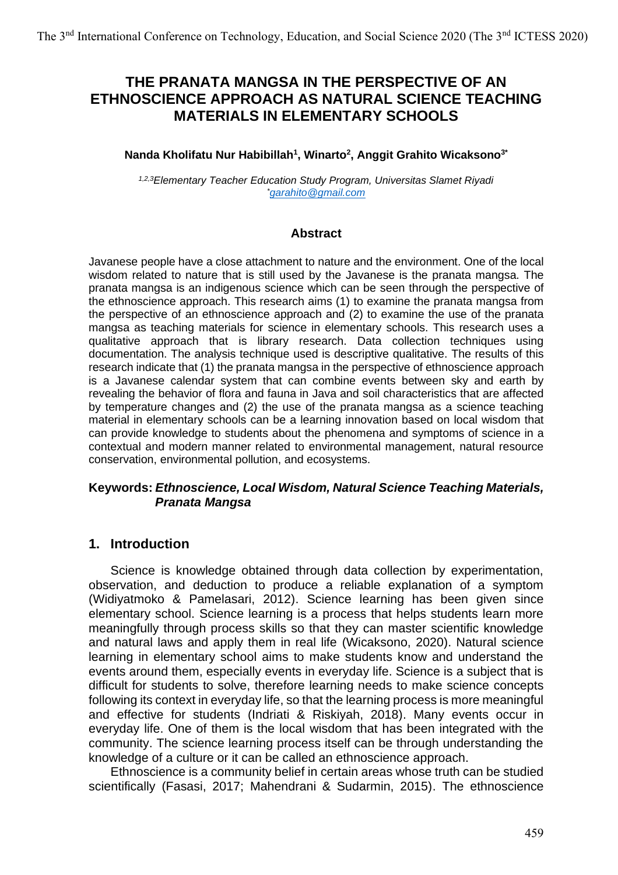# **THE PRANATA MANGSA IN THE PERSPECTIVE OF AN ETHNOSCIENCE APPROACH AS NATURAL SCIENCE TEACHING MATERIALS IN ELEMENTARY SCHOOLS**

### **Nanda Kholifatu Nur Habibillah<sup>1</sup> , Winarto<sup>2</sup> , Anggit Grahito Wicaksono3\***

*1,2,3Elementary Teacher Education Study Program, Universitas Slamet Riyadi \*[garahito@gmail.com](mailto:*garahito@gmail.com)*

#### **Abstract**

Javanese people have a close attachment to nature and the environment. One of the local wisdom related to nature that is still used by the Javanese is the pranata mangsa. The pranata mangsa is an indigenous science which can be seen through the perspective of the ethnoscience approach. This research aims (1) to examine the pranata mangsa from the perspective of an ethnoscience approach and (2) to examine the use of the pranata mangsa as teaching materials for science in elementary schools. This research uses a qualitative approach that is library research. Data collection techniques using documentation. The analysis technique used is descriptive qualitative. The results of this research indicate that (1) the pranata mangsa in the perspective of ethnoscience approach is a Javanese calendar system that can combine events between sky and earth by revealing the behavior of flora and fauna in Java and soil characteristics that are affected by temperature changes and (2) the use of the pranata mangsa as a science teaching material in elementary schools can be a learning innovation based on local wisdom that can provide knowledge to students about the phenomena and symptoms of science in a contextual and modern manner related to environmental management, natural resource conservation, environmental pollution, and ecosystems.

### **Keywords:** *Ethnoscience, Local Wisdom, Natural Science Teaching Materials, Pranata Mangsa*

#### **1. Introduction**

Science is knowledge obtained through data collection by experimentation, observation, and deduction to produce a reliable explanation of a symptom (Widiyatmoko & Pamelasari, 2012). Science learning has been given since elementary school. Science learning is a process that helps students learn more meaningfully through process skills so that they can master scientific knowledge and natural laws and apply them in real life (Wicaksono, 2020). Natural science learning in elementary school aims to make students know and understand the events around them, especially events in everyday life. Science is a subject that is difficult for students to solve, therefore learning needs to make science concepts following its context in everyday life, so that the learning process is more meaningful and effective for students (Indriati & Riskiyah, 2018). Many events occur in everyday life. One of them is the local wisdom that has been integrated with the community. The science learning process itself can be through understanding the knowledge of a culture or it can be called an ethnoscience approach.

Ethnoscience is a community belief in certain areas whose truth can be studied scientifically (Fasasi, 2017; Mahendrani & Sudarmin, 2015). The ethnoscience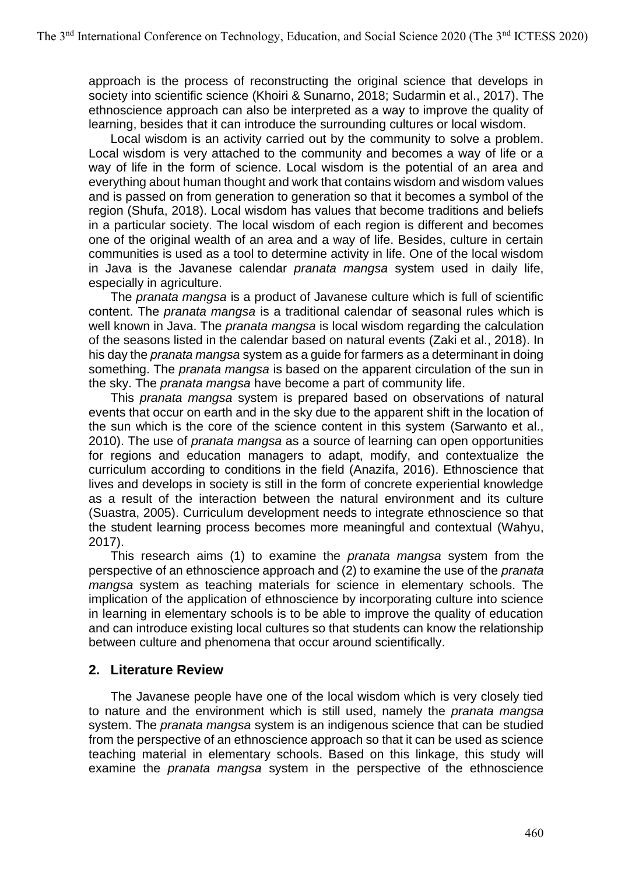approach is the process of reconstructing the original science that develops in society into scientific science (Khoiri & Sunarno, 2018; Sudarmin et al., 2017). The ethnoscience approach can also be interpreted as a way to improve the quality of learning, besides that it can introduce the surrounding cultures or local wisdom.

Local wisdom is an activity carried out by the community to solve a problem. Local wisdom is very attached to the community and becomes a way of life or a way of life in the form of science. Local wisdom is the potential of an area and everything about human thought and work that contains wisdom and wisdom values and is passed on from generation to generation so that it becomes a symbol of the region (Shufa, 2018). Local wisdom has values that become traditions and beliefs in a particular society. The local wisdom of each region is different and becomes one of the original wealth of an area and a way of life. Besides, culture in certain communities is used as a tool to determine activity in life. One of the local wisdom in Java is the Javanese calendar *pranata mangsa* system used in daily life, especially in agriculture.

The *pranata mangsa* is a product of Javanese culture which is full of scientific content. The *pranata mangsa* is a traditional calendar of seasonal rules which is well known in Java. The *pranata mangsa* is local wisdom regarding the calculation of the seasons listed in the calendar based on natural events (Zaki et al., 2018). In his day the *pranata mangsa* system as a guide for farmers as a determinant in doing something. The *pranata mangsa* is based on the apparent circulation of the sun in the sky. The *pranata mangsa* have become a part of community life.

This *pranata mangsa* system is prepared based on observations of natural events that occur on earth and in the sky due to the apparent shift in the location of the sun which is the core of the science content in this system (Sarwanto et al., 2010). The use of *pranata mangsa* as a source of learning can open opportunities for regions and education managers to adapt, modify, and contextualize the curriculum according to conditions in the field (Anazifa, 2016). Ethnoscience that lives and develops in society is still in the form of concrete experiential knowledge as a result of the interaction between the natural environment and its culture (Suastra, 2005). Curriculum development needs to integrate ethnoscience so that the student learning process becomes more meaningful and contextual (Wahyu, 2017).

This research aims (1) to examine the *pranata mangsa* system from the perspective of an ethnoscience approach and (2) to examine the use of the *pranata mangsa* system as teaching materials for science in elementary schools. The implication of the application of ethnoscience by incorporating culture into science in learning in elementary schools is to be able to improve the quality of education and can introduce existing local cultures so that students can know the relationship between culture and phenomena that occur around scientifically.

## **2. Literature Review**

The Javanese people have one of the local wisdom which is very closely tied to nature and the environment which is still used, namely the *pranata mangsa* system. The *pranata mangsa* system is an indigenous science that can be studied from the perspective of an ethnoscience approach so that it can be used as science teaching material in elementary schools. Based on this linkage, this study will examine the *pranata mangsa* system in the perspective of the ethnoscience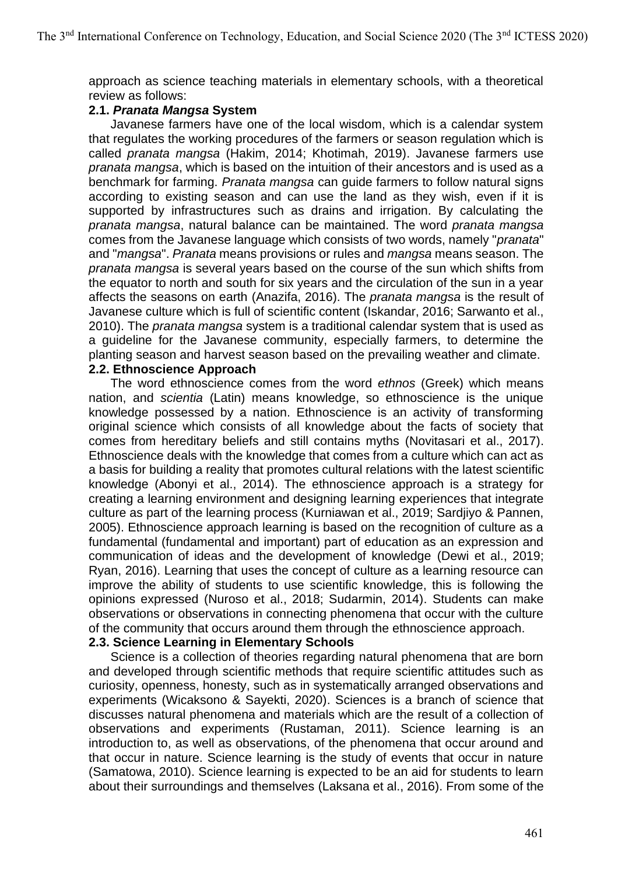approach as science teaching materials in elementary schools, with a theoretical review as follows:

#### **2.1.** *Pranata Mangsa* **System**

Javanese farmers have one of the local wisdom, which is a calendar system that regulates the working procedures of the farmers or season regulation which is called *pranata mangsa* (Hakim, 2014; Khotimah, 2019). Javanese farmers use *pranata mangsa*, which is based on the intuition of their ancestors and is used as a benchmark for farming. *Pranata mangsa* can guide farmers to follow natural signs according to existing season and can use the land as they wish, even if it is supported by infrastructures such as drains and irrigation. By calculating the *pranata mangsa*, natural balance can be maintained. The word *pranata mangsa* comes from the Javanese language which consists of two words, namely "*pranata*" and "*mangsa*". *Pranata* means provisions or rules and *mangsa* means season. The *pranata mangsa* is several years based on the course of the sun which shifts from the equator to north and south for six years and the circulation of the sun in a year affects the seasons on earth (Anazifa, 2016). The *pranata mangsa* is the result of Javanese culture which is full of scientific content (Iskandar, 2016; Sarwanto et al., 2010). The *pranata mangsa* system is a traditional calendar system that is used as a guideline for the Javanese community, especially farmers, to determine the planting season and harvest season based on the prevailing weather and climate.

### **2.2. Ethnoscience Approach**

The word ethnoscience comes from the word *ethnos* (Greek) which means nation, and *scientia* (Latin) means knowledge, so ethnoscience is the unique knowledge possessed by a nation. Ethnoscience is an activity of transforming original science which consists of all knowledge about the facts of society that comes from hereditary beliefs and still contains myths (Novitasari et al., 2017). Ethnoscience deals with the knowledge that comes from a culture which can act as a basis for building a reality that promotes cultural relations with the latest scientific knowledge (Abonyi et al., 2014). The ethnoscience approach is a strategy for creating a learning environment and designing learning experiences that integrate culture as part of the learning process (Kurniawan et al., 2019; Sardjiyo & Pannen, 2005). Ethnoscience approach learning is based on the recognition of culture as a fundamental (fundamental and important) part of education as an expression and communication of ideas and the development of knowledge (Dewi et al., 2019; Ryan, 2016). Learning that uses the concept of culture as a learning resource can improve the ability of students to use scientific knowledge, this is following the opinions expressed (Nuroso et al., 2018; Sudarmin, 2014). Students can make observations or observations in connecting phenomena that occur with the culture of the community that occurs around them through the ethnoscience approach.

#### **2.3. Science Learning in Elementary Schools**

Science is a collection of theories regarding natural phenomena that are born and developed through scientific methods that require scientific attitudes such as curiosity, openness, honesty, such as in systematically arranged observations and experiments (Wicaksono & Sayekti, 2020). Sciences is a branch of science that discusses natural phenomena and materials which are the result of a collection of observations and experiments (Rustaman, 2011). Science learning is an introduction to, as well as observations, of the phenomena that occur around and that occur in nature. Science learning is the study of events that occur in nature (Samatowa, 2010). Science learning is expected to be an aid for students to learn about their surroundings and themselves (Laksana et al., 2016). From some of the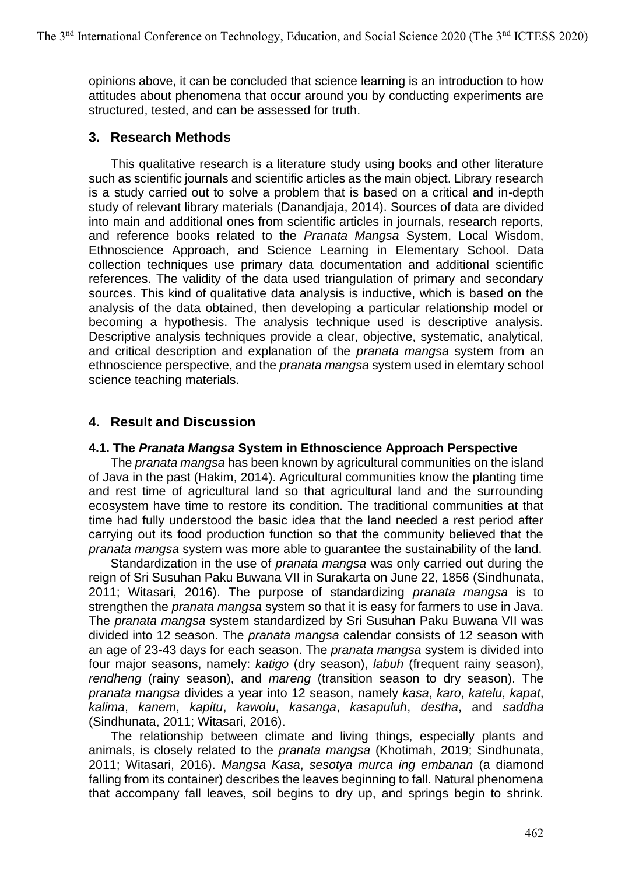opinions above, it can be concluded that science learning is an introduction to how attitudes about phenomena that occur around you by conducting experiments are structured, tested, and can be assessed for truth.

## **3. Research Methods**

This qualitative research is a literature study using books and other literature such as scientific journals and scientific articles as the main object. Library research is a study carried out to solve a problem that is based on a critical and in-depth study of relevant library materials (Danandjaja, 2014). Sources of data are divided into main and additional ones from scientific articles in journals, research reports, and reference books related to the *Pranata Mangsa* System, Local Wisdom, Ethnoscience Approach, and Science Learning in Elementary School. Data collection techniques use primary data documentation and additional scientific references. The validity of the data used triangulation of primary and secondary sources. This kind of qualitative data analysis is inductive, which is based on the analysis of the data obtained, then developing a particular relationship model or becoming a hypothesis. The analysis technique used is descriptive analysis. Descriptive analysis techniques provide a clear, objective, systematic, analytical, and critical description and explanation of the *pranata mangsa* system from an ethnoscience perspective, and the *pranata mangsa* system used in elemtary school science teaching materials.

## **4. Result and Discussion**

#### **4.1. The** *Pranata Mangsa* **System in Ethnoscience Approach Perspective**

The *pranata mangsa* has been known by agricultural communities on the island of Java in the past (Hakim, 2014). Agricultural communities know the planting time and rest time of agricultural land so that agricultural land and the surrounding ecosystem have time to restore its condition. The traditional communities at that time had fully understood the basic idea that the land needed a rest period after carrying out its food production function so that the community believed that the *pranata mangsa* system was more able to guarantee the sustainability of the land.

Standardization in the use of *pranata mangsa* was only carried out during the reign of Sri Susuhan Paku Buwana VII in Surakarta on June 22, 1856 (Sindhunata, 2011; Witasari, 2016). The purpose of standardizing *pranata mangsa* is to strengthen the *pranata mangsa* system so that it is easy for farmers to use in Java. The *pranata mangsa* system standardized by Sri Susuhan Paku Buwana VII was divided into 12 season. The *pranata mangsa* calendar consists of 12 season with an age of 23-43 days for each season. The *pranata mangsa* system is divided into four major seasons, namely: *katigo* (dry season), *labuh* (frequent rainy season), *rendheng* (rainy season), and *mareng* (transition season to dry season). The *pranata mangsa* divides a year into 12 season, namely *kasa*, *karo*, *katelu*, *kapat*, *kalima*, *kanem*, *kapitu*, *kawolu*, *kasanga*, *kasapuluh*, *destha*, and *saddha* (Sindhunata, 2011; Witasari, 2016).

The relationship between climate and living things, especially plants and animals, is closely related to the *pranata mangsa* (Khotimah, 2019; Sindhunata, 2011; Witasari, 2016). *Mangsa Kasa*, *sesotya murca ing embanan* (a diamond falling from its container) describes the leaves beginning to fall. Natural phenomena that accompany fall leaves, soil begins to dry up, and springs begin to shrink.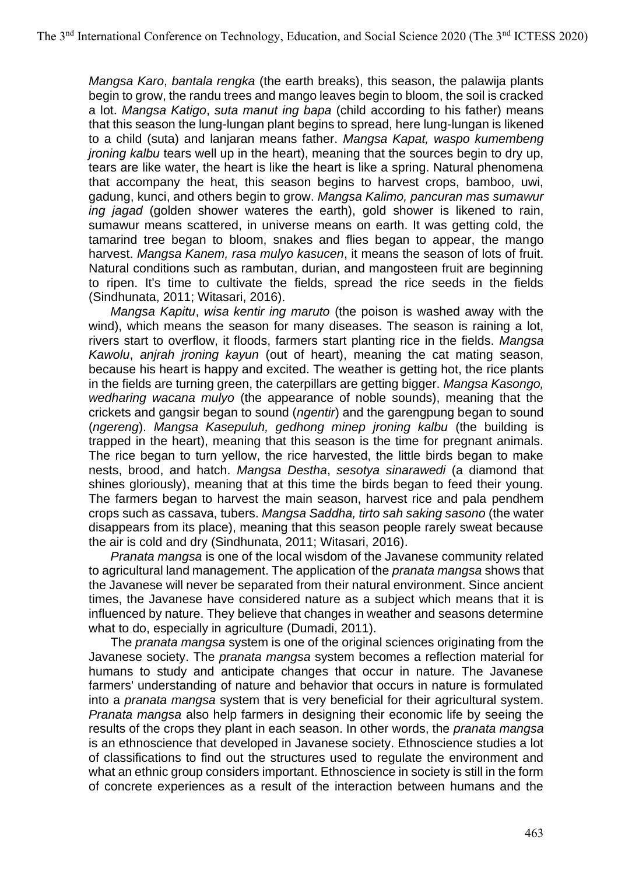*Mangsa Karo*, *bantala rengka* (the earth breaks), this season, the palawija plants begin to grow, the randu trees and mango leaves begin to bloom, the soil is cracked a lot. *Mangsa Katigo*, *suta manut ing bapa* (child according to his father) means that this season the lung-lungan plant begins to spread, here lung-lungan is likened to a child (suta) and lanjaran means father. *Mangsa Kapat, waspo kumembeng jroning kalbu* tears well up in the heart), meaning that the sources begin to dry up, tears are like water, the heart is like the heart is like a spring. Natural phenomena that accompany the heat, this season begins to harvest crops, bamboo, uwi, gadung, kunci, and others begin to grow. *Mangsa Kalimo, pancuran mas sumawur ing jagad* (golden shower wateres the earth), gold shower is likened to rain, sumawur means scattered, in universe means on earth. It was getting cold, the tamarind tree began to bloom, snakes and flies began to appear, the mango harvest. *Mangsa Kanem, rasa mulyo kasucen*, it means the season of lots of fruit. Natural conditions such as rambutan, durian, and mangosteen fruit are beginning to ripen. It's time to cultivate the fields, spread the rice seeds in the fields (Sindhunata, 2011; Witasari, 2016).

*Mangsa Kapitu*, *wisa kentir ing maruto* (the poison is washed away with the wind), which means the season for many diseases. The season is raining a lot, rivers start to overflow, it floods, farmers start planting rice in the fields. *Mangsa Kawolu*, *anjrah jroning kayun* (out of heart), meaning the cat mating season, because his heart is happy and excited. The weather is getting hot, the rice plants in the fields are turning green, the caterpillars are getting bigger. *Mangsa Kasongo, wedharing wacana mulyo* (the appearance of noble sounds), meaning that the crickets and gangsir began to sound (*ngentir*) and the garengpung began to sound (*ngereng*). *Mangsa Kasepuluh, gedhong minep jroning kalbu* (the building is trapped in the heart), meaning that this season is the time for pregnant animals. The rice began to turn yellow, the rice harvested, the little birds began to make nests, brood, and hatch. *Mangsa Destha*, *sesotya sinarawedi* (a diamond that shines gloriously), meaning that at this time the birds began to feed their young. The farmers began to harvest the main season, harvest rice and pala pendhem crops such as cassava, tubers. *Mangsa Saddha, tirto sah saking sasono* (the water disappears from its place), meaning that this season people rarely sweat because the air is cold and dry (Sindhunata, 2011; Witasari, 2016).

*Pranata mangsa* is one of the local wisdom of the Javanese community related to agricultural land management. The application of the *pranata mangsa* shows that the Javanese will never be separated from their natural environment. Since ancient times, the Javanese have considered nature as a subject which means that it is influenced by nature. They believe that changes in weather and seasons determine what to do, especially in agriculture (Dumadi, 2011).

The *pranata mangsa* system is one of the original sciences originating from the Javanese society. The *pranata mangsa* system becomes a reflection material for humans to study and anticipate changes that occur in nature. The Javanese farmers' understanding of nature and behavior that occurs in nature is formulated into a *pranata mangsa* system that is very beneficial for their agricultural system. *Pranata mangsa* also help farmers in designing their economic life by seeing the results of the crops they plant in each season. In other words, the *pranata mangsa* is an ethnoscience that developed in Javanese society. Ethnoscience studies a lot of classifications to find out the structures used to regulate the environment and what an ethnic group considers important. Ethnoscience in society is still in the form of concrete experiences as a result of the interaction between humans and the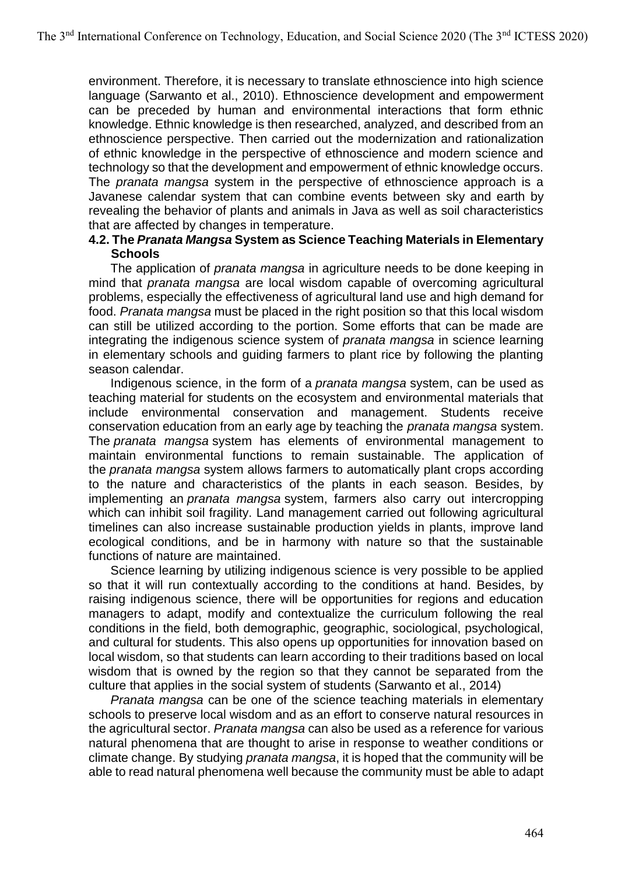environment. Therefore, it is necessary to translate ethnoscience into high science language (Sarwanto et al., 2010). Ethnoscience development and empowerment can be preceded by human and environmental interactions that form ethnic knowledge. Ethnic knowledge is then researched, analyzed, and described from an ethnoscience perspective. Then carried out the modernization and rationalization of ethnic knowledge in the perspective of ethnoscience and modern science and technology so that the development and empowerment of ethnic knowledge occurs. The *pranata mangsa* system in the perspective of ethnoscience approach is a Javanese calendar system that can combine events between sky and earth by revealing the behavior of plants and animals in Java as well as soil characteristics that are affected by changes in temperature.

### **4.2. The** *Pranata Mangsa* **System as Science Teaching Materials in Elementary Schools**

The application of *pranata mangsa* in agriculture needs to be done keeping in mind that *pranata mangsa* are local wisdom capable of overcoming agricultural problems, especially the effectiveness of agricultural land use and high demand for food. *Pranata mangsa* must be placed in the right position so that this local wisdom can still be utilized according to the portion. Some efforts that can be made are integrating the indigenous science system of *pranata mangsa* in science learning in elementary schools and guiding farmers to plant rice by following the planting season calendar.

Indigenous science, in the form of a *pranata mangsa* system, can be used as teaching material for students on the ecosystem and environmental materials that include environmental conservation and management. Students receive conservation education from an early age by teaching the *pranata mangsa* system. The *pranata mangsa* system has elements of environmental management to maintain environmental functions to remain sustainable. The application of the *pranata mangsa* system allows farmers to automatically plant crops according to the nature and characteristics of the plants in each season. Besides, by implementing an *pranata mangsa* system, farmers also carry out intercropping which can inhibit soil fragility. Land management carried out following agricultural timelines can also increase sustainable production yields in plants, improve land ecological conditions, and be in harmony with nature so that the sustainable functions of nature are maintained.

Science learning by utilizing indigenous science is very possible to be applied so that it will run contextually according to the conditions at hand. Besides, by raising indigenous science, there will be opportunities for regions and education managers to adapt, modify and contextualize the curriculum following the real conditions in the field, both demographic, geographic, sociological, psychological, and cultural for students. This also opens up opportunities for innovation based on local wisdom, so that students can learn according to their traditions based on local wisdom that is owned by the region so that they cannot be separated from the culture that applies in the social system of students (Sarwanto et al., 2014)

*Pranata mangsa* can be one of the science teaching materials in elementary schools to preserve local wisdom and as an effort to conserve natural resources in the agricultural sector. *Pranata mangsa* can also be used as a reference for various natural phenomena that are thought to arise in response to weather conditions or climate change. By studying *pranata mangsa*, it is hoped that the community will be able to read natural phenomena well because the community must be able to adapt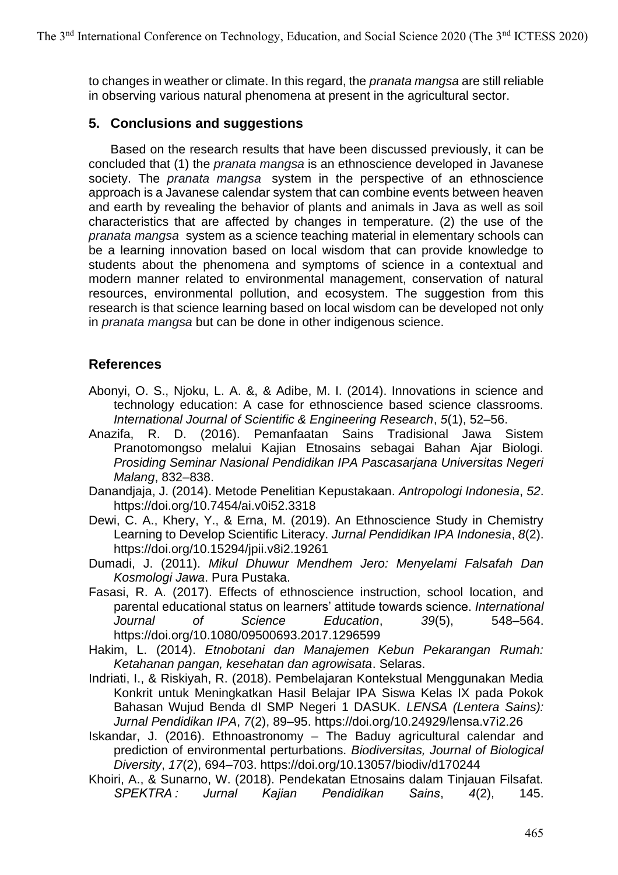to changes in weather or climate. In this regard, the *pranata mangsa* are still reliable in observing various natural phenomena at present in the agricultural sector.

## **5. Conclusions and suggestions**

Based on the research results that have been discussed previously, it can be concluded that (1) the *pranata mangsa* is an ethnoscience developed in Javanese society. The *pranata mangsa* system in the perspective of an ethnoscience approach is a Javanese calendar system that can combine events between heaven and earth by revealing the behavior of plants and animals in Java as well as soil characteristics that are affected by changes in temperature. (2) the use of the *pranata mangsa* system as a science teaching material in elementary schools can be a learning innovation based on local wisdom that can provide knowledge to students about the phenomena and symptoms of science in a contextual and modern manner related to environmental management, conservation of natural resources, environmental pollution, and ecosystem. The suggestion from this research is that science learning based on local wisdom can be developed not only in *pranata mangsa* but can be done in other indigenous science.

## **References**

- Abonyi, O. S., Njoku, L. A. &, & Adibe, M. I. (2014). Innovations in science and technology education: A case for ethnoscience based science classrooms. *International Journal of Scientific & Engineering Research*, *5*(1), 52–56.
- Anazifa, R. D. (2016). Pemanfaatan Sains Tradisional Jawa Sistem Pranotomongso melalui Kajian Etnosains sebagai Bahan Ajar Biologi. *Prosiding Seminar Nasional Pendidikan IPA Pascasarjana Universitas Negeri Malang*, 832–838.
- Danandjaja, J. (2014). Metode Penelitian Kepustakaan. *Antropologi Indonesia*, *52*. https://doi.org/10.7454/ai.v0i52.3318
- Dewi, C. A., Khery, Y., & Erna, M. (2019). An Ethnoscience Study in Chemistry Learning to Develop Scientific Literacy. *Jurnal Pendidikan IPA Indonesia*, *8*(2). https://doi.org/10.15294/jpii.v8i2.19261
- Dumadi, J. (2011). *Mikul Dhuwur Mendhem Jero: Menyelami Falsafah Dan Kosmologi Jawa*. Pura Pustaka.
- Fasasi, R. A. (2017). Effects of ethnoscience instruction, school location, and parental educational status on learners' attitude towards science. *International Journal of Science Education*, *39*(5), 548–564. https://doi.org/10.1080/09500693.2017.1296599
- Hakim, L. (2014). *Etnobotani dan Manajemen Kebun Pekarangan Rumah: Ketahanan pangan, kesehatan dan agrowisata*. Selaras.
- Indriati, I., & Riskiyah, R. (2018). Pembelajaran Kontekstual Menggunakan Media Konkrit untuk Meningkatkan Hasil Belajar IPA Siswa Kelas IX pada Pokok Bahasan Wujud Benda dI SMP Negeri 1 DASUK. *LENSA (Lentera Sains): Jurnal Pendidikan IPA*, *7*(2), 89–95. https://doi.org/10.24929/lensa.v7i2.26
- Iskandar, J. (2016). Ethnoastronomy The Baduy agricultural calendar and prediction of environmental perturbations. *Biodiversitas, Journal of Biological Diversity*, *17*(2), 694–703. https://doi.org/10.13057/biodiv/d170244
- Khoiri, A., & Sunarno, W. (2018). Pendekatan Etnosains dalam Tinjauan Filsafat. *SPEKTRA : Jurnal Kajian Pendidikan Sains*, *4*(2), 145.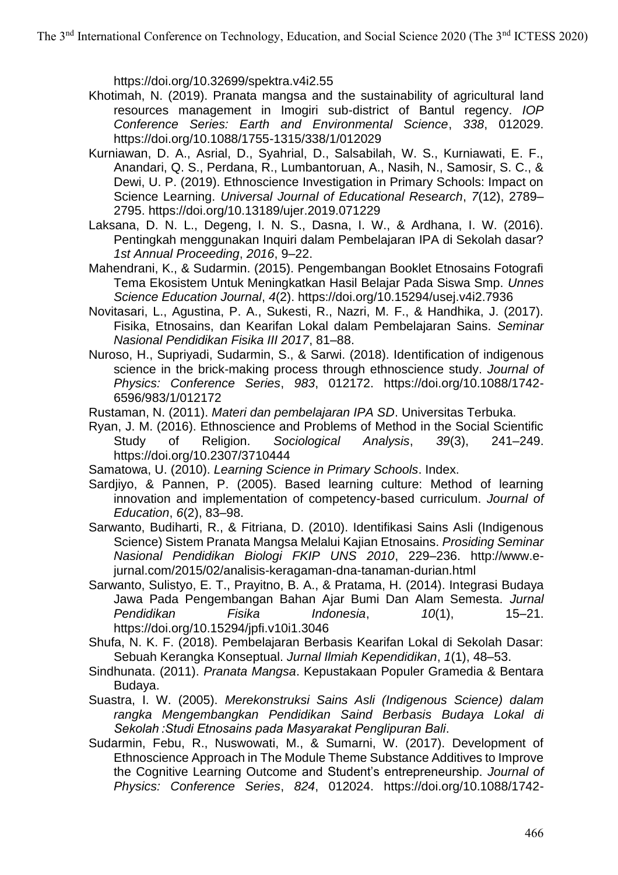https://doi.org/10.32699/spektra.v4i2.55

- Khotimah, N. (2019). Pranata mangsa and the sustainability of agricultural land resources management in Imogiri sub-district of Bantul regency. *IOP Conference Series: Earth and Environmental Science*, *338*, 012029. https://doi.org/10.1088/1755-1315/338/1/012029
- Kurniawan, D. A., Asrial, D., Syahrial, D., Salsabilah, W. S., Kurniawati, E. F., Anandari, Q. S., Perdana, R., Lumbantoruan, A., Nasih, N., Samosir, S. C., & Dewi, U. P. (2019). Ethnoscience Investigation in Primary Schools: Impact on Science Learning. *Universal Journal of Educational Research*, *7*(12), 2789– 2795. https://doi.org/10.13189/ujer.2019.071229
- Laksana, D. N. L., Degeng, I. N. S., Dasna, I. W., & Ardhana, I. W. (2016). Pentingkah menggunakan Inquiri dalam Pembelajaran IPA di Sekolah dasar? *1st Annual Proceeding*, *2016*, 9–22.
- Mahendrani, K., & Sudarmin. (2015). Pengembangan Booklet Etnosains Fotografi Tema Ekosistem Untuk Meningkatkan Hasil Belajar Pada Siswa Smp. *Unnes Science Education Journal*, *4*(2). https://doi.org/10.15294/usej.v4i2.7936
- Novitasari, L., Agustina, P. A., Sukesti, R., Nazri, M. F., & Handhika, J. (2017). Fisika, Etnosains, dan Kearifan Lokal dalam Pembelajaran Sains. *Seminar Nasional Pendidikan Fisika III 2017*, 81–88.
- Nuroso, H., Supriyadi, Sudarmin, S., & Sarwi. (2018). Identification of indigenous science in the brick-making process through ethnoscience study. *Journal of Physics: Conference Series*, *983*, 012172. https://doi.org/10.1088/1742- 6596/983/1/012172
- Rustaman, N. (2011). *Materi dan pembelajaran IPA SD*. Universitas Terbuka.
- Ryan, J. M. (2016). Ethnoscience and Problems of Method in the Social Scientific Study of Religion. *Sociological Analysis*, *39*(3), 241–249. https://doi.org/10.2307/3710444
- Samatowa, U. (2010). *Learning Science in Primary Schools*. Index.
- Sardjiyo, & Pannen, P. (2005). Based learning culture: Method of learning innovation and implementation of competency-based curriculum. *Journal of Education*, *6*(2), 83–98.
- Sarwanto, Budiharti, R., & Fitriana, D. (2010). Identifikasi Sains Asli (Indigenous Science) Sistem Pranata Mangsa Melalui Kajian Etnosains. *Prosiding Seminar Nasional Pendidikan Biologi FKIP UNS 2010*, 229–236. http://www.ejurnal.com/2015/02/analisis-keragaman-dna-tanaman-durian.html
- Sarwanto, Sulistyo, E. T., Prayitno, B. A., & Pratama, H. (2014). Integrasi Budaya Jawa Pada Pengembangan Bahan Ajar Bumi Dan Alam Semesta. *Jurnal Pendidikan Fisika Indonesia*, *10*(1), 15–21. https://doi.org/10.15294/jpfi.v10i1.3046
- Shufa, N. K. F. (2018). Pembelajaran Berbasis Kearifan Lokal di Sekolah Dasar: Sebuah Kerangka Konseptual. *Jurnal Ilmiah Kependidikan*, *1*(1), 48–53.
- Sindhunata. (2011). *Pranata Mangsa*. Kepustakaan Populer Gramedia & Bentara Budaya.
- Suastra, I. W. (2005). *Merekonstruksi Sains Asli (Indigenous Science) dalam rangka Mengembangkan Pendidikan Saind Berbasis Budaya Lokal di Sekolah :Studi Etnosains pada Masyarakat Penglipuran Bali*.
- Sudarmin, Febu, R., Nuswowati, M., & Sumarni, W. (2017). Development of Ethnoscience Approach in The Module Theme Substance Additives to Improve the Cognitive Learning Outcome and Student's entrepreneurship. *Journal of Physics: Conference Series*, *824*, 012024. https://doi.org/10.1088/1742-